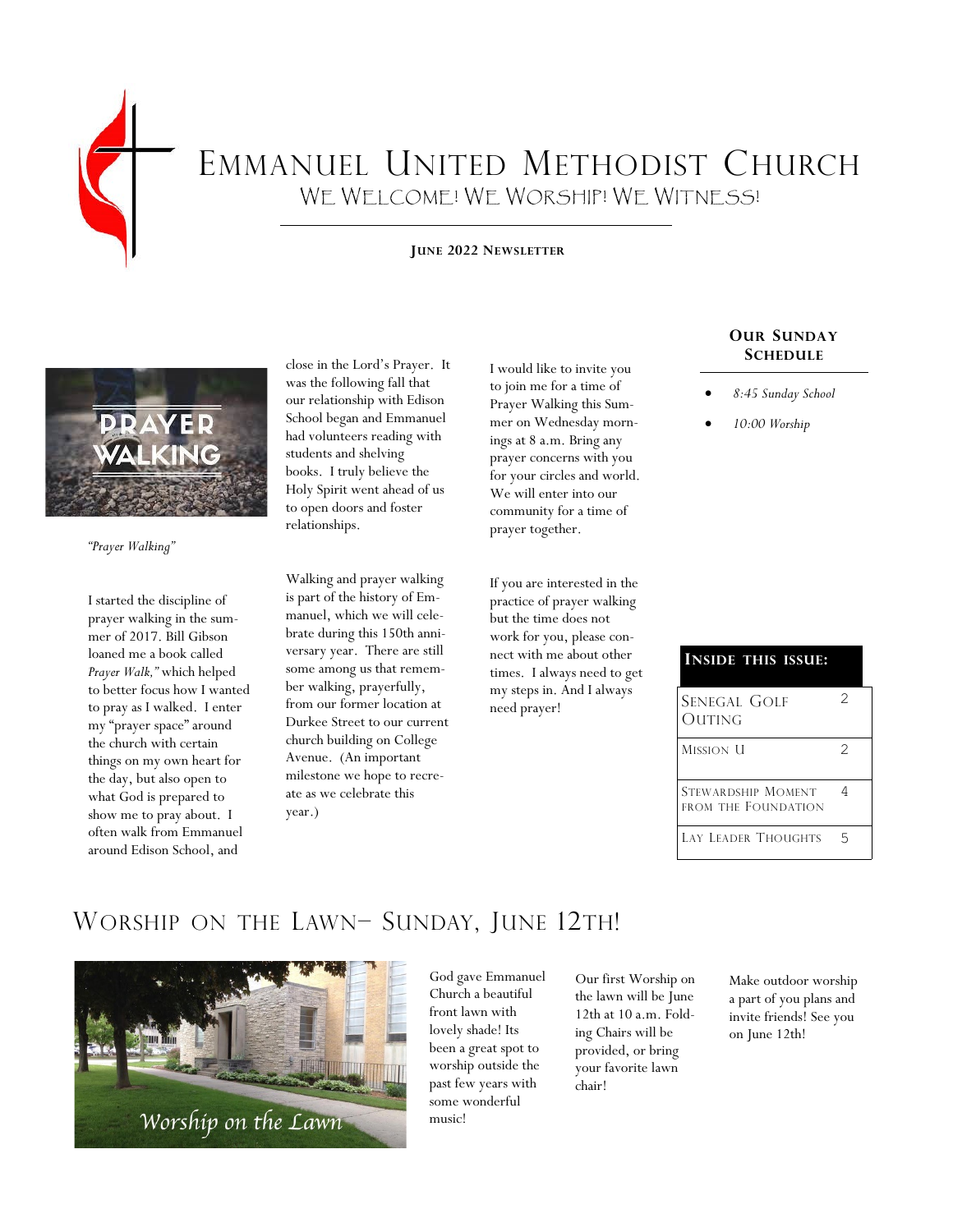

# EMMANUEL UNITED METHODIST CHURCH WE WELCOME! WE WORSHIP! WE WITNESS!

#### **JUNE 2022 NEWSLETTER**



*"Prayer Walking"*

I started the discipline of prayer walking in the summer of 2017. Bill Gibson loaned me a book called *Prayer Walk,"* which helped to better focus how I wanted to pray as I walked. I enter my "prayer space" around the church with certain things on my own heart for the day, but also open to what God is prepared to show me to pray about. I often walk from Emmanuel around Edison School, and

close in the Lord's Prayer. It was the following fall that our relationship with Edison School began and Emmanuel had volunteers reading with students and shelving books. I truly believe the Holy Spirit went ahead of us to open doors and foster relationships.

Walking and prayer walking is part of the history of Emmanuel, which we will celebrate during this 150th anniversary year. There are still some among us that remember walking, prayerfully, from our former location at Durkee Street to our current church building on College Avenue. (An important milestone we hope to recreate as we celebrate this year.)

I would like to invite you to join me for a time of Prayer Walking this Summer on Wednesday mornings at 8 a.m. Bring any prayer concerns with you for your circles and world. We will enter into our community for a time of prayer together.

If you are interested in the practice of prayer walking but the time does not work for you, please connect with me about other times. I always need to get my steps in. And I always need prayer!

#### **OUR SUNDAY SCHEDULE**

- *8:45 Sunday School*
- *10:00 Worship*

| <b>INSIDE THIS ISSUE:</b>                        |   |
|--------------------------------------------------|---|
| Senegal Golf<br>Outing                           | 2 |
| Mission U                                        | 2 |
| <b>STEWARDSHIP MOMENT</b><br>FROM THE FOUNDATION | 4 |
| LAY LEADER THOUGHTS                              | ↳ |

## WORSHIP ON THE LAWN– SUNDAY, JUNE 12TH!



God gave Emmanuel Church a beautiful front lawn with lovely shade! Its been a great spot to worship outside the past few years with some wonderful music!

Our first Worship on the lawn will be June 12th at 10 a.m. Folding Chairs will be provided, or bring your favorite lawn chair!

Make outdoor worship a part of you plans and invite friends! See you on June 12th!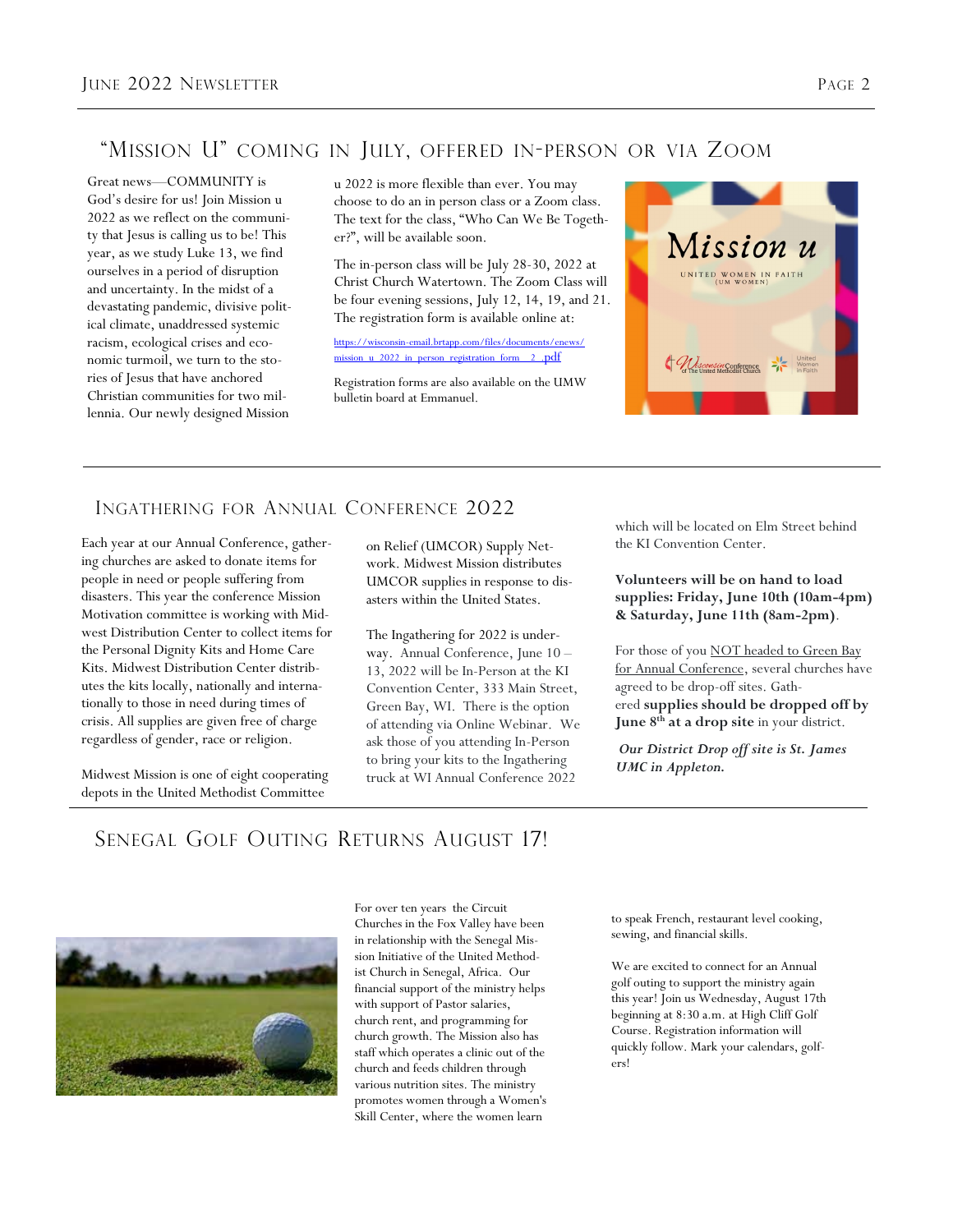## "MISSION U" COMING IN JULY, OFFERED IN-PERSON OR VIA ZOOM

Great news—COMMUNITY is God's desire for us! Join Mission u 2022 as we reflect on the community that Jesus is calling us to be! This year, as we study Luke 13, we find ourselves in a period of disruption and uncertainty. In the midst of a devastating pandemic, divisive political climate, unaddressed systemic racism, ecological crises and economic turmoil, we turn to the stories of Jesus that have anchored Christian communities for two millennia. Our newly designed Mission

u 2022 is more flexible than ever. You may choose to do an in person class or a Zoom class. The text for the class, "Who Can We Be Together?", will be available soon.

The in-person class will be July 28-30, 2022 at Christ Church Watertown. The Zoom Class will be four evening sessions, July 12, 14, 19, and 21. The registration form is available online at:

[https://wisconsin-email.brtapp.com/files/documents/enews/](https://wisconsin-email.brtapp.com/files/documents/enews/mission_u_2022_in_person_registration_form__2_.pdf) [mission\\_u\\_2022\\_in\\_person\\_registration\\_form\\_\\_2\\_.](https://wisconsin-email.brtapp.com/files/documents/enews/mission_u_2022_in_person_registration_form__2_.pdf)pdf

Registration forms are also available on the UMW bulletin board at Emmanuel.



### INGATHERING FOR ANNUAL CONFERENCE 2022

Each year at our Annual Conference, gathering churches are asked to donate items for people in need or people suffering from disasters. This year the conference Mission Motivation committee is working with Midwest Distribution Center to collect items for the Personal Dignity Kits and Home Care Kits. Midwest Distribution Center distributes the kits locally, nationally and internationally to those in need during times of crisis. All supplies are given free of charge regardless of gender, race or religion.

Midwest Mission is one of eight cooperating depots in the United Methodist Committee

on Relief (UMCOR) Supply Network. Midwest Mission distributes UMCOR supplies in response to disasters within the United States.

The Ingathering for 2022 is underway. Annual Conference, June 10 – 13, 2022 will be In-Person at the KI Convention Center, 333 Main Street, Green Bay, WI. There is the option of attending via Online Webinar. We ask those of you attending In-Person to bring your kits to the Ingathering truck at WI Annual Conference 2022

which will be located on Elm Street behind the KI Convention Center.

**Volunteers will be on hand to load supplies: Friday, June 10th (10am-4pm) & Saturday, June 11th (8am-2pm)**.

For those of you **NOT** headed to Green Bay for Annual Conference, several churches have agreed to be drop-off sites. Gathered **supplies should be dropped off by June 8th at a drop site** in your district.

*Our District Drop off site is St. James UMC in Appleton.*

## SENEGAL GOLF OUTING RETURNS AUGUST 17!



For over ten years the Circuit Churches in the Fox Valley have been in relationship with the Senegal Mission Initiative of the United Methodist Church in Senegal, Africa. Our financial support of the ministry helps with support of Pastor salaries, church rent, and programming for church growth. The Mission also has staff which operates a clinic out of the church and feeds children through various nutrition sites. The ministry promotes women through a Women's Skill Center, where the women learn

to speak French, restaurant level cooking, sewing, and financial skills.

We are excited to connect for an Annual golf outing to support the ministry again this year! Join us Wednesday, August 17th beginning at 8:30 a.m. at High Cliff Golf Course. Registration information will quickly follow. Mark your calendars, golfers!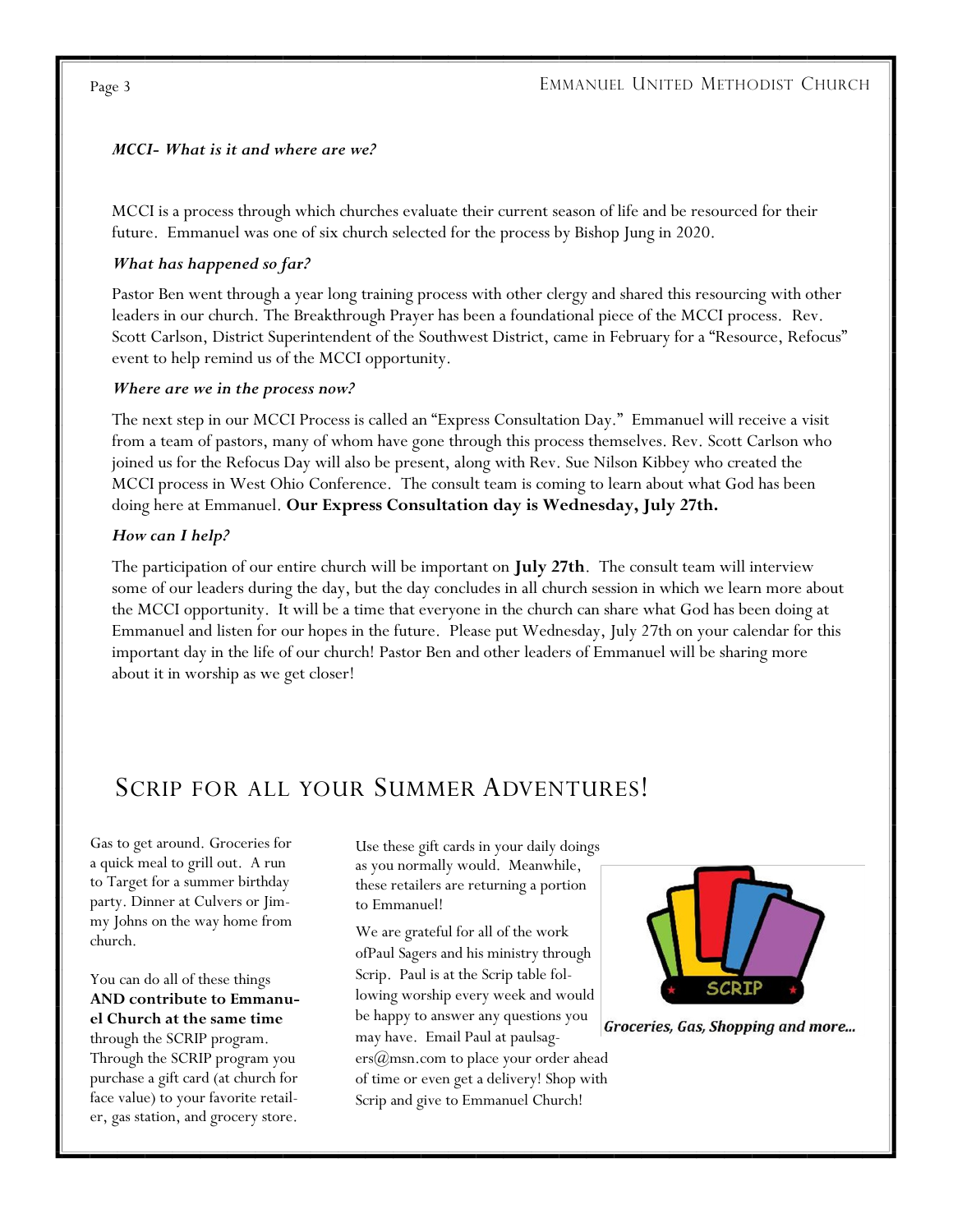### *MCCI- What is it and where are we?*

MCCI is a process through which churches evaluate their current season of life and be resourced for their future. Emmanuel was one of six church selected for the process by Bishop Jung in 2020.

### *What has happened so far?*

Pastor Ben went through a year long training process with other clergy and shared this resourcing with other leaders in our church. The Breakthrough Prayer has been a foundational piece of the MCCI process. Rev. Scott Carlson, District Superintendent of the Southwest District, came in February for a "Resource, Refocus" event to help remind us of the MCCI opportunity.

#### *Where are we in the process now?*

The next step in our MCCI Process is called an "Express Consultation Day." Emmanuel will receive a visit from a team of pastors, many of whom have gone through this process themselves. Rev. Scott Carlson who joined us for the Refocus Day will also be present, along with Rev. Sue Nilson Kibbey who created the MCCI process in West Ohio Conference. The consult team is coming to learn about what God has been doing here at Emmanuel. **Our Express Consultation day is Wednesday, July 27th.**

#### *How can I help?*

The participation of our entire church will be important on **July 27th**. The consult team will interview some of our leaders during the day, but the day concludes in all church session in which we learn more about the MCCI opportunity. It will be a time that everyone in the church can share what God has been doing at Emmanuel and listen for our hopes in the future. Please put Wednesday, July 27th on your calendar for this important day in the life of our church! Pastor Ben and other leaders of Emmanuel will be sharing more about it in worship as we get closer!

## SCRIP FOR ALL YOUR SUMMER ADVENTURES!

Gas to get around. Groceries for a quick meal to grill out. A run to Target for a summer birthday party. Dinner at Culvers or Jimmy Johns on the way home from church.

You can do all of these things **AND contribute to Emmanuel Church at the same time**  through the SCRIP program. Through the SCRIP program you purchase a gift card (at church for face value) to your favorite retailer, gas station, and grocery store.

Use these gift cards in your daily doings as you normally would. Meanwhile, these retailers are returning a portion to Emmanuel!

We are grateful for all of the work ofPaul Sagers and his ministry through Scrip. Paul is at the Scrip table following worship every week and would be happy to answer any questions you may have. Email Paul at paulsag $ers(\omega_{\text{msn.}}$ com to place your order ahead of time or even get a delivery! Shop with Scrip and give to Emmanuel Church!



Groceries, Gas, Shopping and more...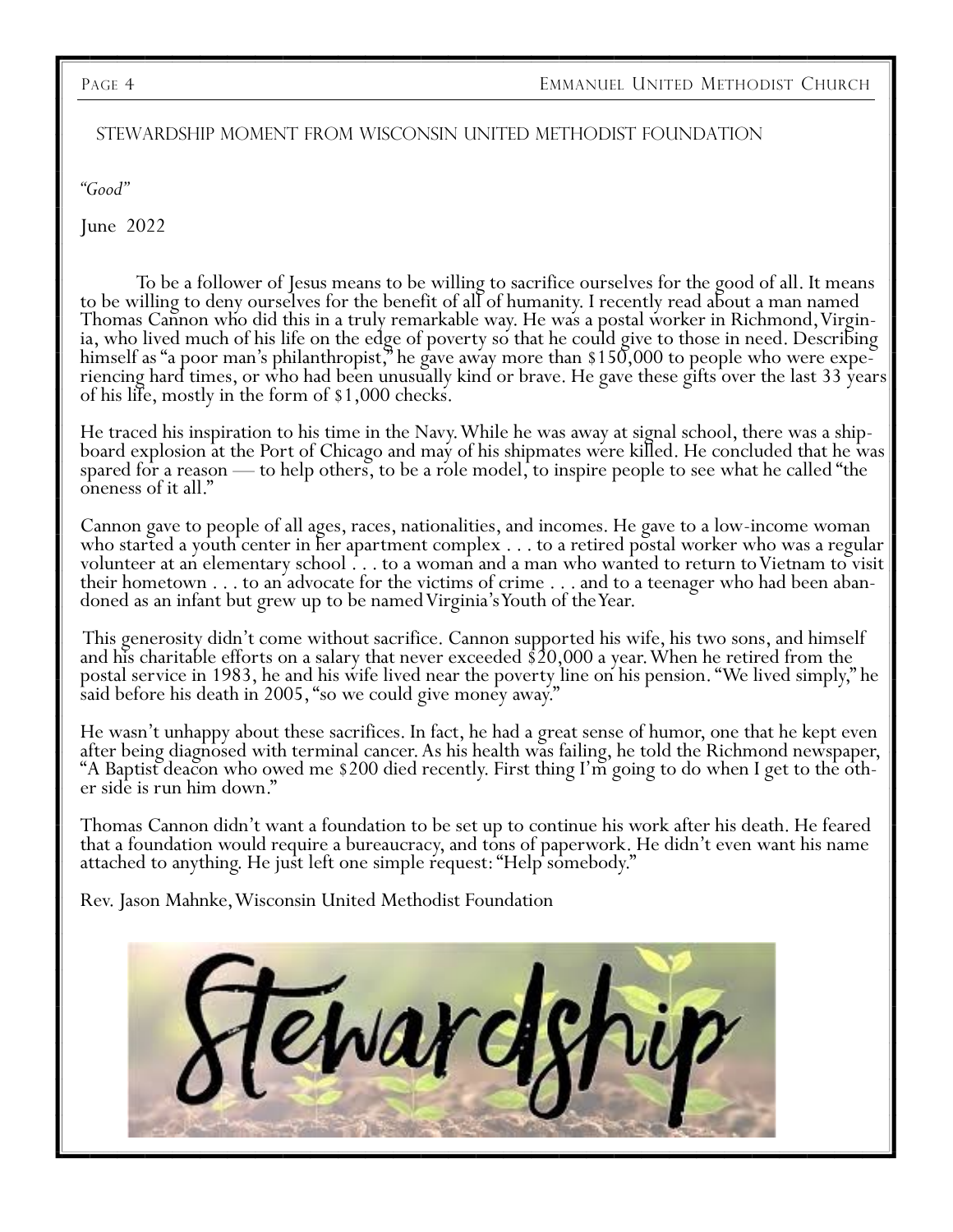#### Stewardship Moment from Wisconsin United Methodist Foundation

*"Good"*

June 2022

To be a follower of Jesus means to be willing to sacrifice ourselves for the good of all. It means to be willing to deny ourselves for the benefit of all of humanity. I recently read about a man named Thomas Cannon who did this in a truly remarkable way. He was a postal worker in Richmond, Virginia, who lived much of his life on the edge of poverty so that he could give to those in need. Describing himself as "a poor man's philanthropist," he gave away more than \$150,000 to people who were experiencing hard times, or who had been unusually kind or brave. He gave these gifts over the last 33 years of his life, mostly in the form of \$1,000 checks.

He traced his inspiration to his time in the Navy. While he was away at signal school, there was a shipboard explosion at the Port of Chicago and may of his shipmates were killed. He concluded that he was spared for a reason — to help others, to be a role model, to inspire people to see what he called "the oneness of it all."

Cannon gave to people of all ages, races, nationalities, and incomes. He gave to a low-income woman who started a youth center in her apartment complex . . . to a retired postal worker who was a regular volunteer at an elementary school . . . to a woman and a man who wanted to return to Vietnam to visit their hometown . . . to an advocate for the victims of crime . . . and to a teenager who had been abandoned as an infant but grew up to be named Virginia's Youth of the Year.

This generosity didn't come without sacrifice. Cannon supported his wife, his two sons, and himself and his charitable efforts on a salary that never exceeded \$20,000 a year. When he retired from the postal service in 1983, he and his wife lived near the poverty line on his pension. "We lived simply," he said before his death in 2005, "so we could give money away."

He wasn't unhappy about these sacrifices. In fact, he had a great sense of humor, one that he kept even after being diagnosed with terminal cancer. As his health was failing, he told the Richmond newspaper, "A Baptist deacon who owed me \$200 died recently. First thing I'm going to do when I get to the other side is run him down."

Thomas Cannon didn't want a foundation to be set up to continue his work after his death. He feared that a foundation would require a bureaucracy, and tons of paperwork. He didn't even want his name attached to anything. He just left one simple request: "Help somebody."

Rev. Jason Mahnke, Wisconsin United Methodist Foundation

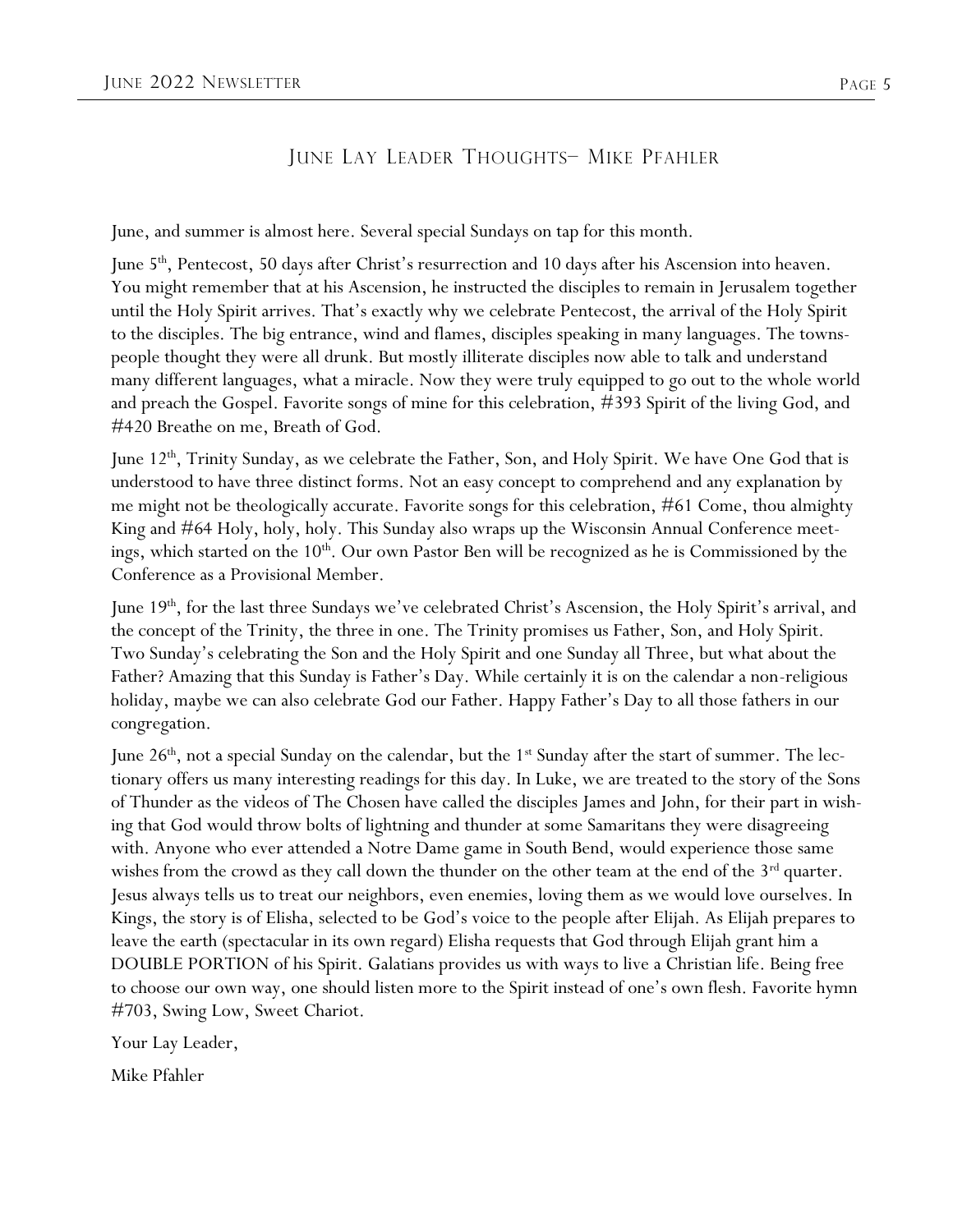## JUNE LAY LEADER THOUGHTS– MIKE PFAHLER

June, and summer is almost here. Several special Sundays on tap for this month.

June 5th, Pentecost, 50 days after Christ's resurrection and 10 days after his Ascension into heaven. You might remember that at his Ascension, he instructed the disciples to remain in Jerusalem together until the Holy Spirit arrives. That's exactly why we celebrate Pentecost, the arrival of the Holy Spirit to the disciples. The big entrance, wind and flames, disciples speaking in many languages. The townspeople thought they were all drunk. But mostly illiterate disciples now able to talk and understand many different languages, what a miracle. Now they were truly equipped to go out to the whole world and preach the Gospel. Favorite songs of mine for this celebration, #393 Spirit of the living God, and #420 Breathe on me, Breath of God.

June 12<sup>th</sup>, Trinity Sunday, as we celebrate the Father, Son, and Holy Spirit. We have One God that is understood to have three distinct forms. Not an easy concept to comprehend and any explanation by me might not be theologically accurate. Favorite songs for this celebration, #61 Come, thou almighty King and #64 Holy, holy, holy. This Sunday also wraps up the Wisconsin Annual Conference meetings, which started on the 10<sup>th</sup>. Our own Pastor Ben will be recognized as he is Commissioned by the Conference as a Provisional Member.

June 19th, for the last three Sundays we've celebrated Christ's Ascension, the Holy Spirit's arrival, and the concept of the Trinity, the three in one. The Trinity promises us Father, Son, and Holy Spirit. Two Sunday's celebrating the Son and the Holy Spirit and one Sunday all Three, but what about the Father? Amazing that this Sunday is Father's Day. While certainly it is on the calendar a non-religious holiday, maybe we can also celebrate God our Father. Happy Father's Day to all those fathers in our congregation.

June  $26<sup>th</sup>$ , not a special Sunday on the calendar, but the 1<sup>st</sup> Sunday after the start of summer. The lectionary offers us many interesting readings for this day. In Luke, we are treated to the story of the Sons of Thunder as the videos of The Chosen have called the disciples James and John, for their part in wishing that God would throw bolts of lightning and thunder at some Samaritans they were disagreeing with. Anyone who ever attended a Notre Dame game in South Bend, would experience those same wishes from the crowd as they call down the thunder on the other team at the end of the  $3<sup>rd</sup>$  quarter. Jesus always tells us to treat our neighbors, even enemies, loving them as we would love ourselves. In Kings, the story is of Elisha, selected to be God's voice to the people after Elijah. As Elijah prepares to leave the earth (spectacular in its own regard) Elisha requests that God through Elijah grant him a DOUBLE PORTION of his Spirit. Galatians provides us with ways to live a Christian life. Being free to choose our own way, one should listen more to the Spirit instead of one's own flesh. Favorite hymn #703, Swing Low, Sweet Chariot.

Your Lay Leader,

Mike Pfahler